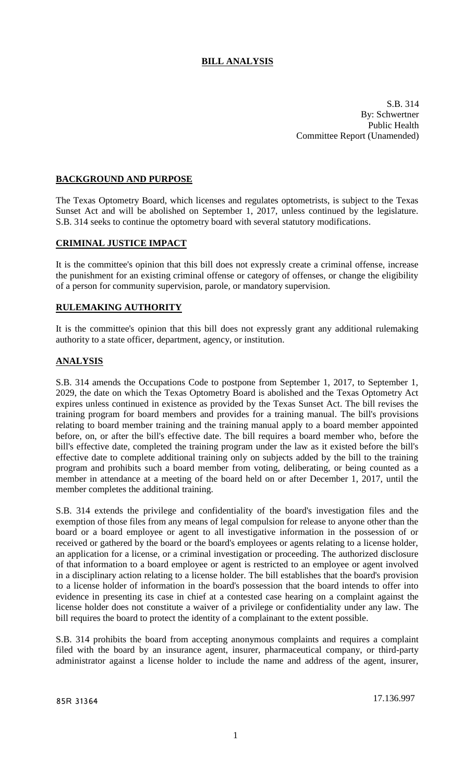# **BILL ANALYSIS**

S.B. 314 By: Schwertner Public Health Committee Report (Unamended)

### **BACKGROUND AND PURPOSE**

The Texas Optometry Board, which licenses and regulates optometrists, is subject to the Texas Sunset Act and will be abolished on September 1, 2017, unless continued by the legislature. S.B. 314 seeks to continue the optometry board with several statutory modifications.

### **CRIMINAL JUSTICE IMPACT**

It is the committee's opinion that this bill does not expressly create a criminal offense, increase the punishment for an existing criminal offense or category of offenses, or change the eligibility of a person for community supervision, parole, or mandatory supervision.

#### **RULEMAKING AUTHORITY**

It is the committee's opinion that this bill does not expressly grant any additional rulemaking authority to a state officer, department, agency, or institution.

### **ANALYSIS**

S.B. 314 amends the Occupations Code to postpone from September 1, 2017, to September 1, 2029, the date on which the Texas Optometry Board is abolished and the Texas Optometry Act expires unless continued in existence as provided by the Texas Sunset Act. The bill revises the training program for board members and provides for a training manual. The bill's provisions relating to board member training and the training manual apply to a board member appointed before, on, or after the bill's effective date. The bill requires a board member who, before the bill's effective date, completed the training program under the law as it existed before the bill's effective date to complete additional training only on subjects added by the bill to the training program and prohibits such a board member from voting, deliberating, or being counted as a member in attendance at a meeting of the board held on or after December 1, 2017, until the member completes the additional training.

S.B. 314 extends the privilege and confidentiality of the board's investigation files and the exemption of those files from any means of legal compulsion for release to anyone other than the board or a board employee or agent to all investigative information in the possession of or received or gathered by the board or the board's employees or agents relating to a license holder, an application for a license, or a criminal investigation or proceeding. The authorized disclosure of that information to a board employee or agent is restricted to an employee or agent involved in a disciplinary action relating to a license holder. The bill establishes that the board's provision to a license holder of information in the board's possession that the board intends to offer into evidence in presenting its case in chief at a contested case hearing on a complaint against the license holder does not constitute a waiver of a privilege or confidentiality under any law. The bill requires the board to protect the identity of a complainant to the extent possible.

S.B. 314 prohibits the board from accepting anonymous complaints and requires a complaint filed with the board by an insurance agent, insurer, pharmaceutical company, or third-party administrator against a license holder to include the name and address of the agent, insurer,